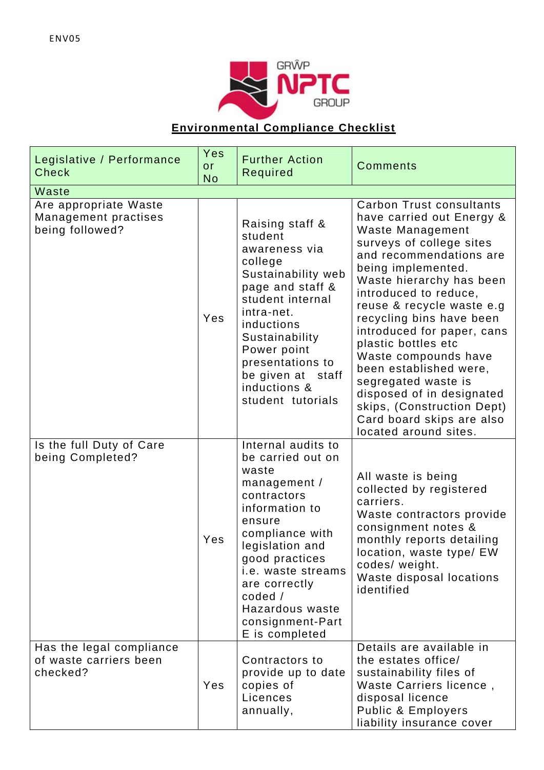

## **Environmental Compliance Checklist**

| Legislative / Performance<br><b>Check</b>                                        | Yes<br>or<br><b>No</b> | <b>Further Action</b><br>Required                                                                                                                                                                                                                                                      | <b>Comments</b>                                                                                                                                                                                                                                                                                                                                                                                                                                                                                                     |
|----------------------------------------------------------------------------------|------------------------|----------------------------------------------------------------------------------------------------------------------------------------------------------------------------------------------------------------------------------------------------------------------------------------|---------------------------------------------------------------------------------------------------------------------------------------------------------------------------------------------------------------------------------------------------------------------------------------------------------------------------------------------------------------------------------------------------------------------------------------------------------------------------------------------------------------------|
| Waste<br>Are appropriate Waste<br><b>Management practises</b><br>being followed? | Yes                    | Raising staff &<br>student<br>awareness via<br>college<br>Sustainability web<br>page and staff &<br>student internal<br>intra-net.<br>inductions<br>Sustainability<br>Power point<br>presentations to<br>be given at staff<br>inductions &<br>student tutorials                        | Carbon Trust consultants<br>have carried out Energy &<br>Waste Management<br>surveys of college sites<br>and recommendations are<br>being implemented.<br>Waste hierarchy has been<br>introduced to reduce,<br>reuse & recycle waste e.g<br>recycling bins have been<br>introduced for paper, cans<br>plastic bottles etc<br>Waste compounds have<br>been established were,<br>segregated waste is<br>disposed of in designated<br>skips, (Construction Dept)<br>Card board skips are also<br>located around sites. |
| Is the full Duty of Care<br>being Completed?                                     | Yes                    | Internal audits to<br>be carried out on<br>waste<br>management /<br>contractors<br>information to<br>ensure<br>compliance with<br>legislation and<br>good practices<br><i>i.e.</i> waste streams<br>are correctly<br>$code$ /<br>Hazardous waste<br>consignment-Part<br>E is completed | All waste is being<br>collected by registered<br>carriers.<br>Waste contractors provide<br>consignment notes &<br>monthly reports detailing<br>location, waste type/ EW<br>codes/ weight.<br>Waste disposal locations<br>identified                                                                                                                                                                                                                                                                                 |
| Has the legal compliance<br>of waste carriers been<br>checked?                   | Yes                    | Contractors to<br>provide up to date<br>copies of<br>Licences<br>annually,                                                                                                                                                                                                             | Details are available in<br>the estates office/<br>sustainability files of<br>Waste Carriers licence,<br>disposal licence<br>Public & Employers<br>liability insurance cover                                                                                                                                                                                                                                                                                                                                        |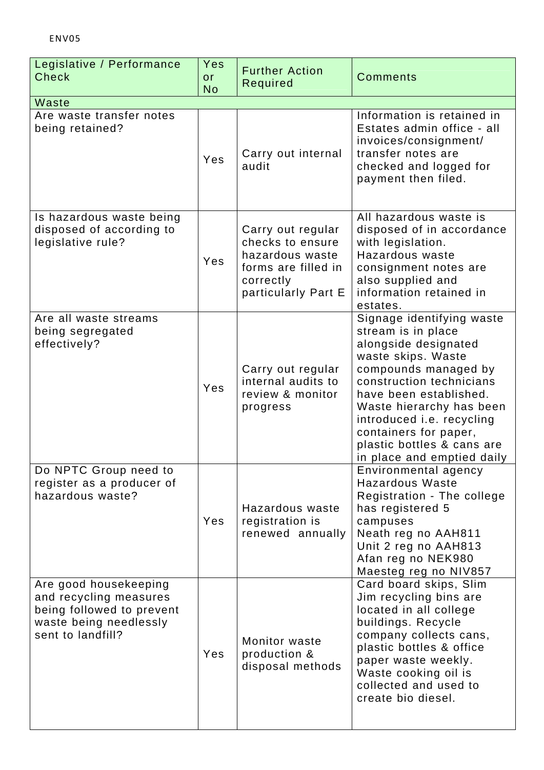| Legislative / Performance<br><b>Check</b>                                                                                   | Yes<br><b>or</b><br><b>No</b> | <b>Further Action</b><br>Required                                                                                   | <b>Comments</b>                                                                                                                                                                                                                                                                                                           |
|-----------------------------------------------------------------------------------------------------------------------------|-------------------------------|---------------------------------------------------------------------------------------------------------------------|---------------------------------------------------------------------------------------------------------------------------------------------------------------------------------------------------------------------------------------------------------------------------------------------------------------------------|
| Waste                                                                                                                       |                               |                                                                                                                     |                                                                                                                                                                                                                                                                                                                           |
| Are waste transfer notes<br>being retained?                                                                                 | Yes                           | Carry out internal<br>audit                                                                                         | Information is retained in<br>Estates admin office - all<br>invoices/consignment/<br>transfer notes are<br>checked and logged for<br>payment then filed.                                                                                                                                                                  |
| Is hazardous waste being<br>disposed of according to<br>legislative rule?                                                   | Yes                           | Carry out regular<br>checks to ensure<br>hazardous waste<br>forms are filled in<br>correctly<br>particularly Part E | All hazardous waste is<br>disposed of in accordance<br>with legislation.<br>Hazardous waste<br>consignment notes are<br>also supplied and<br>information retained in<br>estates.                                                                                                                                          |
| Are all waste streams<br>being segregated<br>effectively?                                                                   | Yes                           | Carry out regular<br>internal audits to<br>review & monitor<br>progress                                             | Signage identifying waste<br>stream is in place<br>alongside designated<br>waste skips. Waste<br>compounds managed by<br>construction technicians<br>have been established.<br>Waste hierarchy has been<br>introduced i.e. recycling<br>containers for paper,<br>plastic bottles & cans are<br>in place and emptied daily |
| Do NPTC Group need to<br>register as a producer of<br>hazardous waste?                                                      | Yes                           | Hazardous waste<br>registration is<br>renewed annually                                                              | Environmental agency<br><b>Hazardous Waste</b><br>Registration - The college<br>has registered 5<br>campuses<br>Neath reg no AAH811<br>Unit 2 reg no AAH813<br>Afan reg no NEK980<br>Maesteg reg no NIV857                                                                                                                |
| Are good housekeeping<br>and recycling measures<br>being followed to prevent<br>waste being needlessly<br>sent to landfill? | Yes                           | Monitor waste<br>production &<br>disposal methods                                                                   | Card board skips, Slim<br>Jim recycling bins are<br>located in all college<br>buildings. Recycle<br>company collects cans,<br>plastic bottles & office<br>paper waste weekly.<br>Waste cooking oil is<br>collected and used to<br>create bio diesel.                                                                      |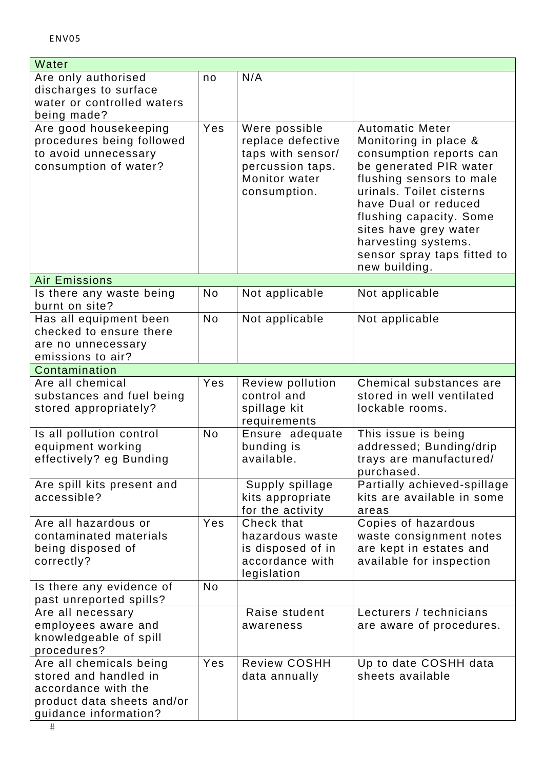| Water                                               |           |                                        |                                                      |
|-----------------------------------------------------|-----------|----------------------------------------|------------------------------------------------------|
| Are only authorised                                 | no        | N/A                                    |                                                      |
| discharges to surface<br>water or controlled waters |           |                                        |                                                      |
| being made?                                         |           |                                        |                                                      |
| Are good housekeeping                               | Yes       | Were possible                          | <b>Automatic Meter</b>                               |
| procedures being followed                           |           | replace defective                      | Monitoring in place &                                |
| to avoid unnecessary                                |           | taps with sensor/                      | consumption reports can                              |
| consumption of water?                               |           | percussion taps.<br>Monitor water      | be generated PIR water<br>flushing sensors to male   |
|                                                     |           | consumption.                           | urinals. Toilet cisterns                             |
|                                                     |           |                                        | have Dual or reduced                                 |
|                                                     |           |                                        | flushing capacity. Some                              |
|                                                     |           |                                        | sites have grey water                                |
|                                                     |           |                                        | harvesting systems.<br>sensor spray taps fitted to   |
|                                                     |           |                                        | new building.                                        |
| <b>Air Emissions</b>                                |           |                                        |                                                      |
| Is there any waste being<br>burnt on site?          | No        | Not applicable                         | Not applicable                                       |
| Has all equipment been                              | <b>No</b> | Not applicable                         | Not applicable                                       |
| checked to ensure there                             |           |                                        |                                                      |
| are no unnecessary                                  |           |                                        |                                                      |
| emissions to air?                                   |           |                                        |                                                      |
| Contamination                                       |           |                                        |                                                      |
| Are all chemical<br>substances and fuel being       | Yes       | <b>Review pollution</b><br>control and | Chemical substances are<br>stored in well ventilated |
| stored appropriately?                               |           | spillage kit                           | lockable rooms.                                      |
|                                                     |           | requirements                           |                                                      |
| Is all pollution control                            | <b>No</b> | Ensure adequate                        | This issue is being                                  |
| equipment working                                   |           | bunding is                             | addressed; Bunding/drip                              |
| effectively? eg Bunding                             |           | available.                             | trays are manufactured/<br>purchased.                |
| Are spill kits present and                          |           | Supply spillage                        | Partially achieved-spillage                          |
| accessible?                                         |           | kits appropriate                       | kits are available in some                           |
|                                                     |           | for the activity                       | areas                                                |
| Are all hazardous or                                | Yes       | Check that                             | Copies of hazardous                                  |
| contaminated materials<br>being disposed of         |           | hazardous waste<br>is disposed of in   | waste consignment notes<br>are kept in estates and   |
| correctly?                                          |           | accordance with                        | available for inspection                             |
|                                                     |           | legislation                            |                                                      |
| Is there any evidence of<br>past unreported spills? | <b>No</b> |                                        |                                                      |
| Are all necessary                                   |           | Raise student                          | Lecturers / technicians                              |
| employees aware and                                 |           | awareness                              | are aware of procedures.                             |
| knowledgeable of spill<br>procedures?               |           |                                        |                                                      |
| Are all chemicals being                             | Yes       | <b>Review COSHH</b>                    | Up to date COSHH data                                |
| stored and handled in                               |           | data annually                          | sheets available                                     |
| accordance with the                                 |           |                                        |                                                      |
| product data sheets and/or                          |           |                                        |                                                      |
| guidance information?                               |           |                                        |                                                      |